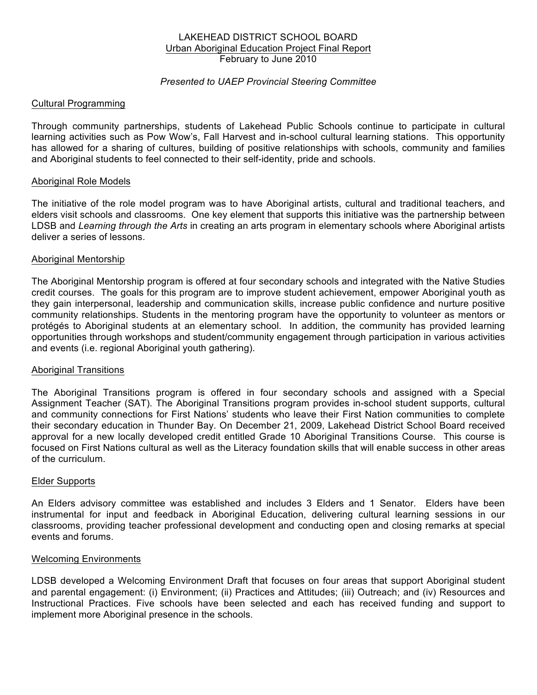### LAKEHEAD DISTRICT SCHOOL BOARD Urban Aboriginal Education Project Final Report February to June 2010

# *Presented to UAEP Provincial Steering Committee*

### Cultural Programming

Through community partnerships, students of Lakehead Public Schools continue to participate in cultural learning activities such as Pow Wow's, Fall Harvest and in-school cultural learning stations. This opportunity has allowed for a sharing of cultures, building of positive relationships with schools, community and families and Aboriginal students to feel connected to their self-identity, pride and schools.

#### Aboriginal Role Models

The initiative of the role model program was to have Aboriginal artists, cultural and traditional teachers, and elders visit schools and classrooms. One key element that supports this initiative was the partnership between LDSB and *Learning through the Arts* in creating an arts program in elementary schools where Aboriginal artists deliver a series of lessons.

#### Aboriginal Mentorship

The Aboriginal Mentorship program is offered at four secondary schools and integrated with the Native Studies credit courses. The goals for this program are to improve student achievement, empower Aboriginal youth as they gain interpersonal, leadership and communication skills, increase public confidence and nurture positive community relationships. Students in the mentoring program have the opportunity to volunteer as mentors or protégés to Aboriginal students at an elementary school. In addition, the community has provided learning opportunities through workshops and student/community engagement through participation in various activities and events (i.e. regional Aboriginal youth gathering).

#### Aboriginal Transitions

The Aboriginal Transitions program is offered in four secondary schools and assigned with a Special Assignment Teacher (SAT). The Aboriginal Transitions program provides in-school student supports, cultural and community connections for First Nations' students who leave their First Nation communities to complete their secondary education in Thunder Bay. On December 21, 2009, Lakehead District School Board received approval for a new locally developed credit entitled Grade 10 Aboriginal Transitions Course. This course is focused on First Nations cultural as well as the Literacy foundation skills that will enable success in other areas of the curriculum.

#### Elder Supports

An Elders advisory committee was established and includes 3 Elders and 1 Senator. Elders have been instrumental for input and feedback in Aboriginal Education, delivering cultural learning sessions in our classrooms, providing teacher professional development and conducting open and closing remarks at special events and forums.

#### Welcoming Environments

LDSB developed a Welcoming Environment Draft that focuses on four areas that support Aboriginal student and parental engagement: (i) Environment; (ii) Practices and Attitudes; (iii) Outreach; and (iv) Resources and Instructional Practices. Five schools have been selected and each has received funding and support to implement more Aboriginal presence in the schools.